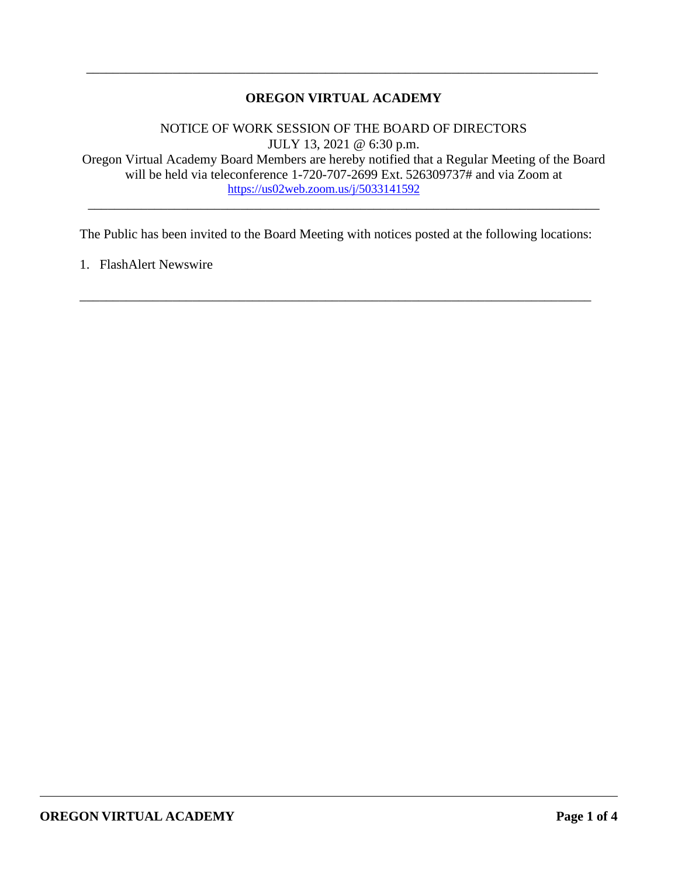## **OREGON VIRTUAL ACADEMY**

\_\_\_\_\_\_\_\_\_\_\_\_\_\_\_\_\_\_\_\_\_\_\_\_\_\_\_\_\_\_\_\_\_\_\_\_\_\_\_\_\_\_\_\_\_\_\_\_\_\_\_\_\_\_\_\_\_\_\_\_\_\_\_\_\_\_\_\_\_\_\_\_\_\_\_\_\_

NOTICE OF WORK SESSION OF THE BOARD OF DIRECTORS JULY 13, 2021 @ 6:30 p.m. Oregon Virtual Academy Board Members are hereby notified that a Regular Meeting of the Board will be held via teleconference 1-720-707-2699 Ext. 526309737# and via Zoom at <https://us02web.zoom.us/j/5033141592>

\_\_\_\_\_\_\_\_\_\_\_\_\_\_\_\_\_\_\_\_\_\_\_\_\_\_\_\_\_\_\_\_\_\_\_\_\_\_\_\_\_\_\_\_\_\_\_\_\_\_\_\_\_\_\_\_\_\_\_\_\_\_\_\_\_\_\_\_\_\_\_\_\_\_\_\_\_

The Public has been invited to the Board Meeting with notices posted at the following locations:

\_\_\_\_\_\_\_\_\_\_\_\_\_\_\_\_\_\_\_\_\_\_\_\_\_\_\_\_\_\_\_\_\_\_\_\_\_\_\_\_\_\_\_\_\_\_\_\_\_\_\_\_\_\_\_\_\_\_\_\_\_\_\_\_\_\_\_\_\_\_\_\_\_\_\_\_\_

1. FlashAlert Newswire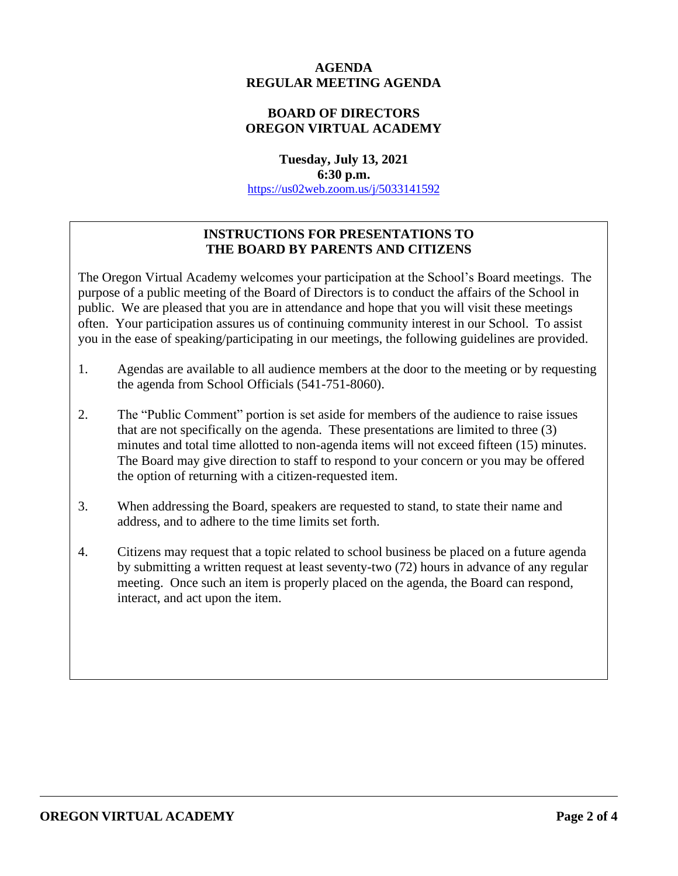### **AGENDA REGULAR MEETING AGENDA**

## **BOARD OF DIRECTORS OREGON VIRTUAL ACADEMY**

**Tuesday, July 13, 2021 6:30 p.m.** <https://us02web.zoom.us/j/5033141592>

## **INSTRUCTIONS FOR PRESENTATIONS TO THE BOARD BY PARENTS AND CITIZENS**

The Oregon Virtual Academy welcomes your participation at the School's Board meetings. The purpose of a public meeting of the Board of Directors is to conduct the affairs of the School in public. We are pleased that you are in attendance and hope that you will visit these meetings often. Your participation assures us of continuing community interest in our School. To assist you in the ease of speaking/participating in our meetings, the following guidelines are provided.

- 1. Agendas are available to all audience members at the door to the meeting or by requesting the agenda from School Officials (541-751-8060).
- 2. The "Public Comment" portion is set aside for members of the audience to raise issues that are not specifically on the agenda. These presentations are limited to three (3) minutes and total time allotted to non-agenda items will not exceed fifteen (15) minutes. The Board may give direction to staff to respond to your concern or you may be offered the option of returning with a citizen-requested item.
- 3. When addressing the Board, speakers are requested to stand, to state their name and address, and to adhere to the time limits set forth.
- 4. Citizens may request that a topic related to school business be placed on a future agenda by submitting a written request at least seventy-two (72) hours in advance of any regular meeting. Once such an item is properly placed on the agenda, the Board can respond, interact, and act upon the item.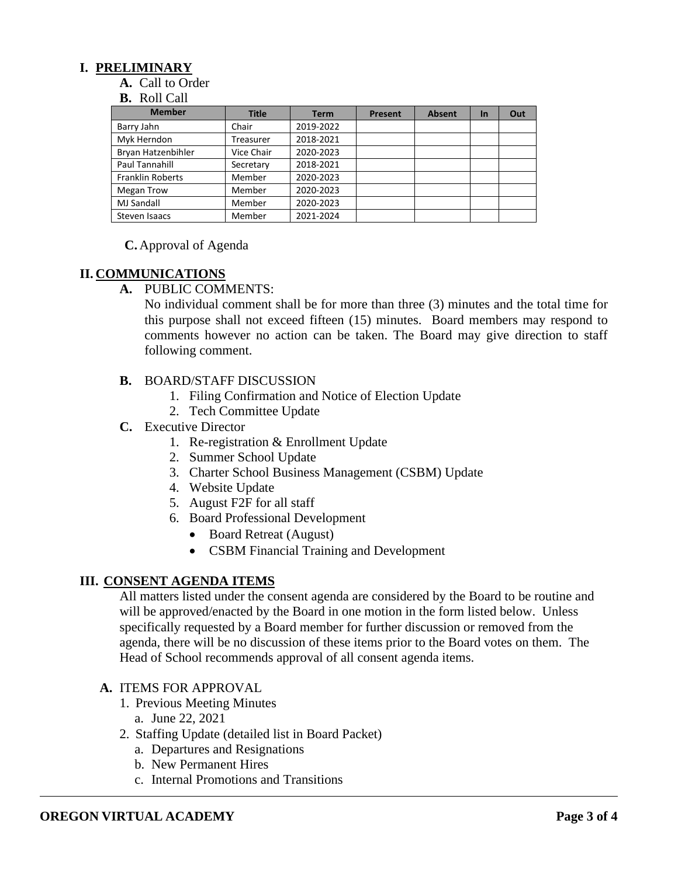## **I. PRELIMINARY**

**A.** Call to Order

#### **B.** Roll Call

| <b>Member</b>           | <b>Title</b> | <b>Term</b> | <b>Present</b> | <b>Absent</b> | $\ln$ | Out |
|-------------------------|--------------|-------------|----------------|---------------|-------|-----|
| Barry Jahn              | Chair        | 2019-2022   |                |               |       |     |
| Myk Herndon             | Treasurer    | 2018-2021   |                |               |       |     |
| Bryan Hatzenbihler      | Vice Chair   | 2020-2023   |                |               |       |     |
| Paul Tannahill          | Secretary    | 2018-2021   |                |               |       |     |
| <b>Franklin Roberts</b> | Member       | 2020-2023   |                |               |       |     |
| Megan Trow              | Member       | 2020-2023   |                |               |       |     |
| <b>MJ Sandall</b>       | Member       | 2020-2023   |                |               |       |     |
| Steven Isaacs           | Member       | 2021-2024   |                |               |       |     |

### **C.** Approval of Agenda

### **II. COMMUNICATIONS**

**A.** PUBLIC COMMENTS:

No individual comment shall be for more than three (3) minutes and the total time for this purpose shall not exceed fifteen (15) minutes. Board members may respond to comments however no action can be taken. The Board may give direction to staff following comment.

### **B.** BOARD/STAFF DISCUSSION

- 1. Filing Confirmation and Notice of Election Update
- 2. Tech Committee Update
- **C.** Executive Director
	- 1. Re-registration & Enrollment Update
	- 2. Summer School Update
	- 3. Charter School Business Management (CSBM) Update
	- 4. Website Update
	- 5. August F2F for all staff
	- 6. Board Professional Development
		- Board Retreat (August)
		- CSBM Financial Training and Development

### **III. CONSENT AGENDA ITEMS**

All matters listed under the consent agenda are considered by the Board to be routine and will be approved/enacted by the Board in one motion in the form listed below. Unless specifically requested by a Board member for further discussion or removed from the agenda, there will be no discussion of these items prior to the Board votes on them. The Head of School recommends approval of all consent agenda items.

### **A.** ITEMS FOR APPROVAL

- 1. Previous Meeting Minutes
	- a. June 22, 2021
- 2. Staffing Update (detailed list in Board Packet)
	- a. Departures and Resignations
	- b. New Permanent Hires
	- c. Internal Promotions and Transitions